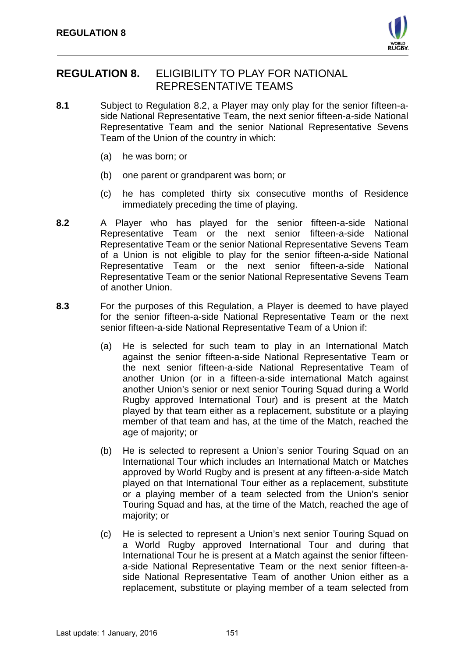

# **REGULATION 8.** ELIGIBILITY TO PLAY FOR NATIONAL REPRESENTATIVE TEAMS

- **8.1** Subject to Regulation 8.2, a Player may only play for the senior fifteen-aside National Representative Team, the next senior fifteen-a-side National Representative Team and the senior National Representative Sevens Team of the Union of the country in which:
	- (a) he was born; or
	- (b) one parent or grandparent was born; or
	- (c) he has completed thirty six consecutive months of Residence immediately preceding the time of playing.
- **8.2** A Player who has played for the senior fifteen-a-side National Representative Team or the next senior fifteen-a-side National Representative Team or the senior National Representative Sevens Team of a Union is not eligible to play for the senior fifteen-a-side National Representative Team or the next senior fifteen-a-side National Representative Team or the senior National Representative Sevens Team of another Union.
- **8.3** For the purposes of this Regulation, a Player is deemed to have played for the senior fifteen-a-side National Representative Team or the next senior fifteen-a-side National Representative Team of a Union if:
	- (a) He is selected for such team to play in an International Match against the senior fifteen-a-side National Representative Team or the next senior fifteen-a-side National Representative Team of another Union (or in a fifteen-a-side international Match against another Union's senior or next senior Touring Squad during a World Rugby approved International Tour) and is present at the Match played by that team either as a replacement, substitute or a playing member of that team and has, at the time of the Match, reached the age of majority; or
	- (b) He is selected to represent a Union's senior Touring Squad on an International Tour which includes an International Match or Matches approved by World Rugby and is present at any fifteen-a-side Match played on that International Tour either as a replacement, substitute or a playing member of a team selected from the Union's senior Touring Squad and has, at the time of the Match, reached the age of majority; or
	- (c) He is selected to represent a Union's next senior Touring Squad on a World Rugby approved International Tour and during that International Tour he is present at a Match against the senior fifteena-side National Representative Team or the next senior fifteen-aside National Representative Team of another Union either as a replacement, substitute or playing member of a team selected from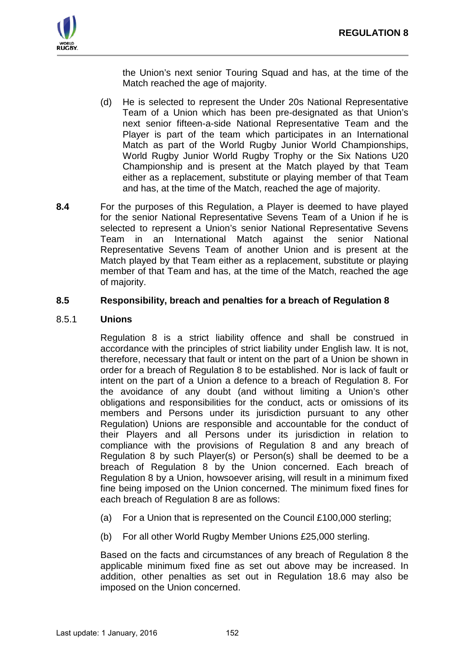

the Union's next senior Touring Squad and has, at the time of the Match reached the age of majority.

- (d) He is selected to represent the Under 20s National Representative Team of a Union which has been pre-designated as that Union's next senior fifteen-a-side National Representative Team and the Player is part of the team which participates in an International Match as part of the World Rugby Junior World Championships, World Rugby Junior World Rugby Trophy or the Six Nations U20 Championship and is present at the Match played by that Team either as a replacement, substitute or playing member of that Team and has, at the time of the Match, reached the age of majority.
- **8.4** For the purposes of this Regulation, a Player is deemed to have played for the senior National Representative Sevens Team of a Union if he is selected to represent a Union's senior National Representative Sevens Team in an International Match against the senior National Representative Sevens Team of another Union and is present at the Match played by that Team either as a replacement, substitute or playing member of that Team and has, at the time of the Match, reached the age of majority.

# **8.5 Responsibility, breach and penalties for a breach of Regulation 8**

# 8.5.1 **Unions**

Regulation 8 is a strict liability offence and shall be construed in accordance with the principles of strict liability under English law. It is not, therefore, necessary that fault or intent on the part of a Union be shown in order for a breach of Regulation 8 to be established. Nor is lack of fault or intent on the part of a Union a defence to a breach of Regulation 8. For the avoidance of any doubt (and without limiting a Union's other obligations and responsibilities for the conduct, acts or omissions of its members and Persons under its jurisdiction pursuant to any other Regulation) Unions are responsible and accountable for the conduct of their Players and all Persons under its jurisdiction in relation to compliance with the provisions of Regulation 8 and any breach of Regulation 8 by such Player(s) or Person(s) shall be deemed to be a breach of Regulation 8 by the Union concerned. Each breach of Regulation 8 by a Union, howsoever arising, will result in a minimum fixed fine being imposed on the Union concerned. The minimum fixed fines for each breach of Regulation 8 are as follows:

- (a) For a Union that is represented on the Council £100,000 sterling;
- (b) For all other World Rugby Member Unions £25,000 sterling.

Based on the facts and circumstances of any breach of Regulation 8 the applicable minimum fixed fine as set out above may be increased. In addition, other penalties as set out in Regulation 18.6 may also be imposed on the Union concerned.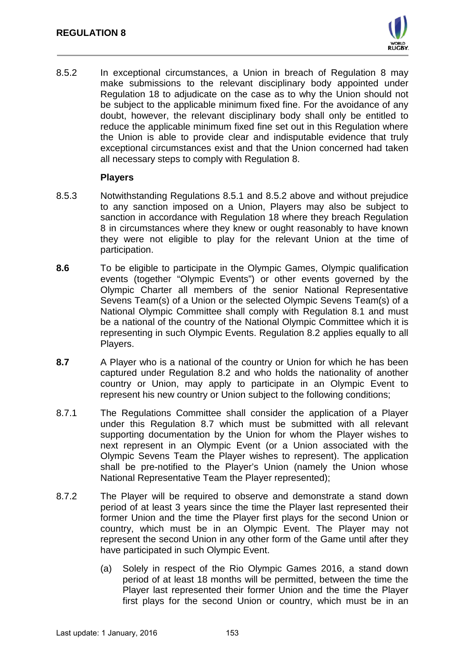

8.5.2 In exceptional circumstances, a Union in breach of Regulation 8 may make submissions to the relevant disciplinary body appointed under Regulation 18 to adjudicate on the case as to why the Union should not be subject to the applicable minimum fixed fine. For the avoidance of any doubt, however, the relevant disciplinary body shall only be entitled to reduce the applicable minimum fixed fine set out in this Regulation where the Union is able to provide clear and indisputable evidence that truly exceptional circumstances exist and that the Union concerned had taken all necessary steps to comply with Regulation 8.

#### **Players**

- 8.5.3 Notwithstanding Regulations 8.5.1 and 8.5.2 above and without prejudice to any sanction imposed on a Union, Players may also be subject to sanction in accordance with Regulation 18 where they breach Regulation 8 in circumstances where they knew or ought reasonably to have known they were not eligible to play for the relevant Union at the time of participation.
- **8.6** To be eligible to participate in the Olympic Games, Olympic qualification events (together "Olympic Events") or other events governed by the Olympic Charter all members of the senior National Representative Sevens Team(s) of a Union or the selected Olympic Sevens Team(s) of a National Olympic Committee shall comply with Regulation 8.1 and must be a national of the country of the National Olympic Committee which it is representing in such Olympic Events. Regulation 8.2 applies equally to all Players.
- **8.7** A Player who is a national of the country or Union for which he has been captured under Regulation 8.2 and who holds the nationality of another country or Union, may apply to participate in an Olympic Event to represent his new country or Union subject to the following conditions;
- 8.7.1 The Regulations Committee shall consider the application of a Player under this Regulation 8.7 which must be submitted with all relevant supporting documentation by the Union for whom the Player wishes to next represent in an Olympic Event (or a Union associated with the Olympic Sevens Team the Player wishes to represent). The application shall be pre-notified to the Player's Union (namely the Union whose National Representative Team the Player represented);
- 8.7.2 The Player will be required to observe and demonstrate a stand down period of at least 3 years since the time the Player last represented their former Union and the time the Player first plays for the second Union or country, which must be in an Olympic Event. The Player may not represent the second Union in any other form of the Game until after they have participated in such Olympic Event.
	- (a) Solely in respect of the Rio Olympic Games 2016, a stand down period of at least 18 months will be permitted, between the time the Player last represented their former Union and the time the Player first plays for the second Union or country, which must be in an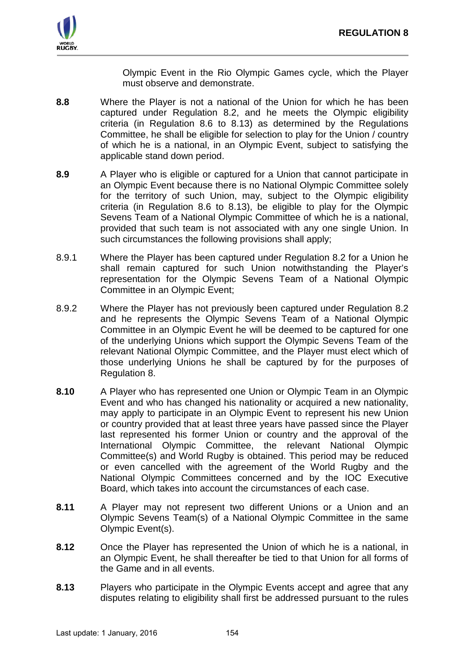

Olympic Event in the Rio Olympic Games cycle, which the Player must observe and demonstrate.

- **8.8** Where the Player is not a national of the Union for which he has been captured under Regulation 8.2, and he meets the Olympic eligibility criteria (in Regulation 8.6 to 8.13) as determined by the Regulations Committee, he shall be eligible for selection to play for the Union / country of which he is a national, in an Olympic Event, subject to satisfying the applicable stand down period.
- **8.9** A Player who is eligible or captured for a Union that cannot participate in an Olympic Event because there is no National Olympic Committee solely for the territory of such Union, may, subject to the Olympic eligibility criteria (in Regulation 8.6 to 8.13), be eligible to play for the Olympic Sevens Team of a National Olympic Committee of which he is a national, provided that such team is not associated with any one single Union. In such circumstances the following provisions shall apply;
- 8.9.1 Where the Player has been captured under Regulation 8.2 for a Union he shall remain captured for such Union notwithstanding the Player's representation for the Olympic Sevens Team of a National Olympic Committee in an Olympic Event;
- 8.9.2 Where the Player has not previously been captured under Regulation 8.2 and he represents the Olympic Sevens Team of a National Olympic Committee in an Olympic Event he will be deemed to be captured for one of the underlying Unions which support the Olympic Sevens Team of the relevant National Olympic Committee, and the Player must elect which of those underlying Unions he shall be captured by for the purposes of Regulation 8.
- **8.10** A Player who has represented one Union or Olympic Team in an Olympic Event and who has changed his nationality or acquired a new nationality, may apply to participate in an Olympic Event to represent his new Union or country provided that at least three years have passed since the Player last represented his former Union or country and the approval of the International Olympic Committee, the relevant National Olympic Committee(s) and World Rugby is obtained. This period may be reduced or even cancelled with the agreement of the World Rugby and the National Olympic Committees concerned and by the IOC Executive Board, which takes into account the circumstances of each case.
- **8.11** A Player may not represent two different Unions or a Union and an Olympic Sevens Team(s) of a National Olympic Committee in the same Olympic Event(s).
- **8.12** Once the Player has represented the Union of which he is a national, in an Olympic Event, he shall thereafter be tied to that Union for all forms of the Game and in all events.
- **8.13** Players who participate in the Olympic Events accept and agree that any disputes relating to eligibility shall first be addressed pursuant to the rules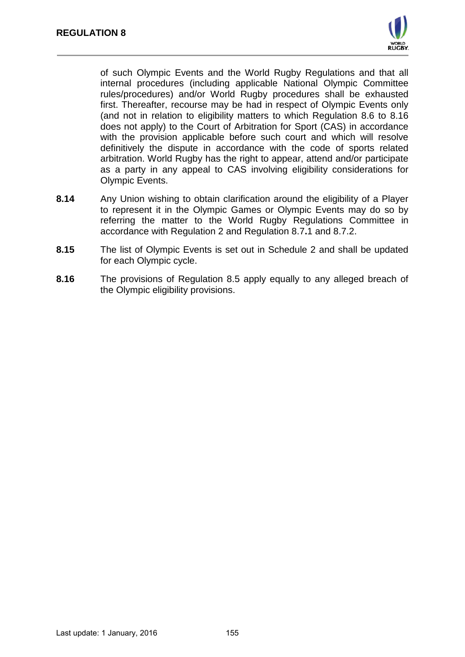

of such Olympic Events and the World Rugby Regulations and that all internal procedures (including applicable National Olympic Committee rules/procedures) and/or World Rugby procedures shall be exhausted first. Thereafter, recourse may be had in respect of Olympic Events only (and not in relation to eligibility matters to which Regulation 8.6 to 8.16 does not apply) to the Court of Arbitration for Sport (CAS) in accordance with the provision applicable before such court and which will resolve definitively the dispute in accordance with the code of sports related arbitration. World Rugby has the right to appear, attend and/or participate as a party in any appeal to CAS involving eligibility considerations for Olympic Events.

- **8.14** Any Union wishing to obtain clarification around the eligibility of a Player to represent it in the Olympic Games or Olympic Events may do so by referring the matter to the World Rugby Regulations Committee in accordance with Regulation 2 and Regulation 8.7**.**1 and 8.7.2.
- **8.15** The list of Olympic Events is set out in Schedule 2 and shall be updated for each Olympic cycle.
- **8.16** The provisions of Regulation 8.5 apply equally to any alleged breach of the Olympic eligibility provisions.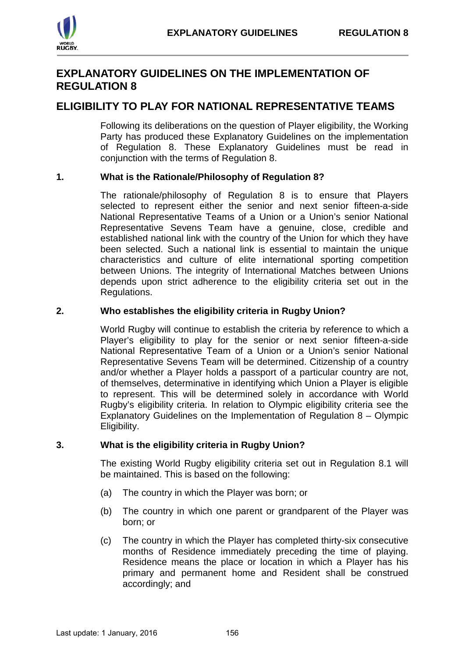

# **EXPLANATORY GUIDELINES ON THE IMPLEMENTATION OF REGULATION 8**

# **ELIGIBILITY TO PLAY FOR NATIONAL REPRESENTATIVE TEAMS**

Following its deliberations on the question of Player eligibility, the Working Party has produced these Explanatory Guidelines on the implementation of Regulation 8. These Explanatory Guidelines must be read in conjunction with the terms of Regulation 8.

# **1. What is the Rationale/Philosophy of Regulation 8?**

The rationale/philosophy of Regulation 8 is to ensure that Players selected to represent either the senior and next senior fifteen-a-side National Representative Teams of a Union or a Union's senior National Representative Sevens Team have a genuine, close, credible and established national link with the country of the Union for which they have been selected. Such a national link is essential to maintain the unique characteristics and culture of elite international sporting competition between Unions. The integrity of International Matches between Unions depends upon strict adherence to the eligibility criteria set out in the Regulations.

# **2. Who establishes the eligibility criteria in Rugby Union?**

World Rugby will continue to establish the criteria by reference to which a Player's eligibility to play for the senior or next senior fifteen-a-side National Representative Team of a Union or a Union's senior National Representative Sevens Team will be determined. Citizenship of a country and/or whether a Player holds a passport of a particular country are not, of themselves, determinative in identifying which Union a Player is eligible to represent. This will be determined solely in accordance with World Rugby's eligibility criteria. In relation to Olympic eligibility criteria see the Explanatory Guidelines on the Implementation of Regulation 8 – Olympic Eligibility.

# **3. What is the eligibility criteria in Rugby Union?**

The existing World Rugby eligibility criteria set out in Regulation 8.1 will be maintained. This is based on the following:

- (a) The country in which the Player was born; or
- (b) The country in which one parent or grandparent of the Player was born; or
- (c) The country in which the Player has completed thirty-six consecutive months of Residence immediately preceding the time of playing. Residence means the place or location in which a Player has his primary and permanent home and Resident shall be construed accordingly; and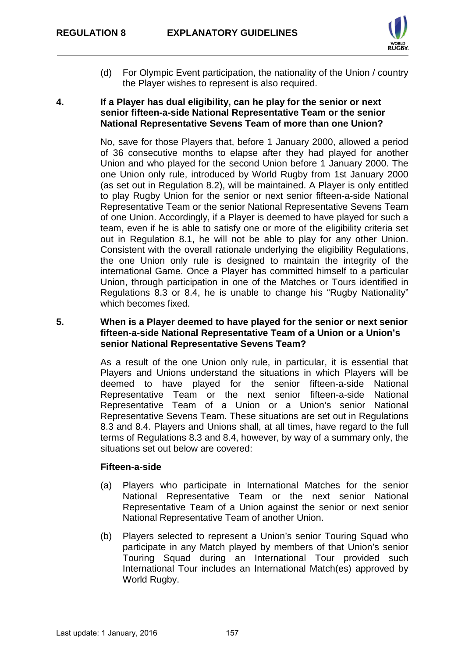

(d) For Olympic Event participation, the nationality of the Union / country the Player wishes to represent is also required.

#### **4. If a Player has dual eligibility, can he play for the senior or next senior fifteen-a-side National Representative Team or the senior National Representative Sevens Team of more than one Union?**

No, save for those Players that, before 1 January 2000, allowed a period of 36 consecutive months to elapse after they had played for another Union and who played for the second Union before 1 January 2000. The one Union only rule, introduced by World Rugby from 1st January 2000 (as set out in Regulation 8.2), will be maintained. A Player is only entitled to play Rugby Union for the senior or next senior fifteen-a-side National Representative Team or the senior National Representative Sevens Team of one Union. Accordingly, if a Player is deemed to have played for such a team, even if he is able to satisfy one or more of the eligibility criteria set out in Regulation 8.1, he will not be able to play for any other Union. Consistent with the overall rationale underlying the eligibility Regulations, the one Union only rule is designed to maintain the integrity of the international Game. Once a Player has committed himself to a particular Union, through participation in one of the Matches or Tours identified in Regulations 8.3 or 8.4, he is unable to change his "Rugby Nationality" which becomes fixed.

# **5. When is a Player deemed to have played for the senior or next senior fifteen-a-side National Representative Team of a Union or a Union's senior National Representative Sevens Team?**

As a result of the one Union only rule, in particular, it is essential that Players and Unions understand the situations in which Players will be deemed to have played for the senior fifteen-a-side National Representative Team or the next senior fifteen-a-side National Representative Team of a Union or a Union's senior National Representative Sevens Team. These situations are set out in Regulations 8.3 and 8.4. Players and Unions shall, at all times, have regard to the full terms of Regulations 8.3 and 8.4, however, by way of a summary only, the situations set out below are covered:

# **Fifteen-a-side**

- (a) Players who participate in International Matches for the senior National Representative Team or the next senior National Representative Team of a Union against the senior or next senior National Representative Team of another Union.
- (b) Players selected to represent a Union's senior Touring Squad who participate in any Match played by members of that Union's senior Touring Squad during an International Tour provided such International Tour includes an International Match(es) approved by World Rugby.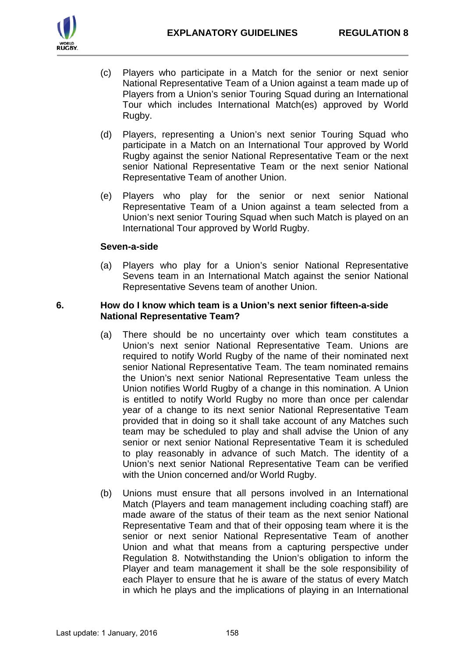

- (c) Players who participate in a Match for the senior or next senior National Representative Team of a Union against a team made up of Players from a Union's senior Touring Squad during an International Tour which includes International Match(es) approved by World Rugby.
- (d) Players, representing a Union's next senior Touring Squad who participate in a Match on an International Tour approved by World Rugby against the senior National Representative Team or the next senior National Representative Team or the next senior National Representative Team of another Union.
- (e) Players who play for the senior or next senior National Representative Team of a Union against a team selected from a Union's next senior Touring Squad when such Match is played on an International Tour approved by World Rugby.

#### **Seven-a-side**

(a) Players who play for a Union's senior National Representative Sevens team in an International Match against the senior National Representative Sevens team of another Union.

#### **6. How do I know which team is a Union's next senior fifteen-a-side National Representative Team?**

- (a) There should be no uncertainty over which team constitutes a Union's next senior National Representative Team. Unions are required to notify World Rugby of the name of their nominated next senior National Representative Team. The team nominated remains the Union's next senior National Representative Team unless the Union notifies World Rugby of a change in this nomination. A Union is entitled to notify World Rugby no more than once per calendar year of a change to its next senior National Representative Team provided that in doing so it shall take account of any Matches such team may be scheduled to play and shall advise the Union of any senior or next senior National Representative Team it is scheduled to play reasonably in advance of such Match. The identity of a Union's next senior National Representative Team can be verified with the Union concerned and/or World Rugby.
- (b) Unions must ensure that all persons involved in an International Match (Players and team management including coaching staff) are made aware of the status of their team as the next senior National Representative Team and that of their opposing team where it is the senior or next senior National Representative Team of another Union and what that means from a capturing perspective under Regulation 8. Notwithstanding the Union's obligation to inform the Player and team management it shall be the sole responsibility of each Player to ensure that he is aware of the status of every Match in which he plays and the implications of playing in an International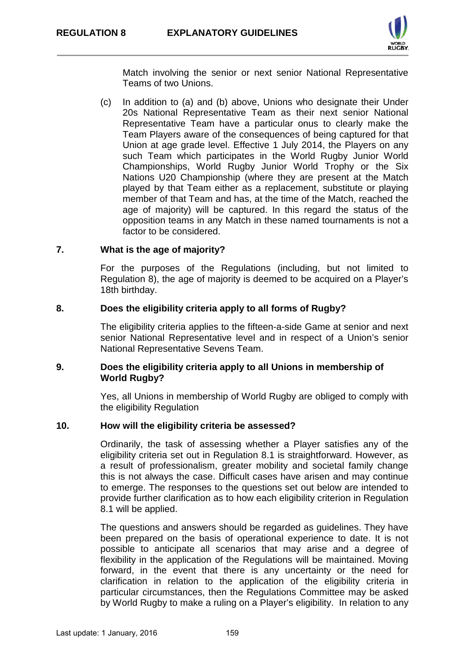

Match involving the senior or next senior National Representative Teams of two Unions.

(c) In addition to (a) and (b) above, Unions who designate their Under 20s National Representative Team as their next senior National Representative Team have a particular onus to clearly make the Team Players aware of the consequences of being captured for that Union at age grade level. Effective 1 July 2014, the Players on any such Team which participates in the World Rugby Junior World Championships, World Rugby Junior World Trophy or the Six Nations U20 Championship (where they are present at the Match played by that Team either as a replacement, substitute or playing member of that Team and has, at the time of the Match, reached the age of majority) will be captured. In this regard the status of the opposition teams in any Match in these named tournaments is not a factor to be considered.

# **7. What is the age of majority?**

For the purposes of the Regulations (including, but not limited to Regulation 8), the age of majority is deemed to be acquired on a Player's 18th birthday.

#### **8. Does the eligibility criteria apply to all forms of Rugby?**

The eligibility criteria applies to the fifteen-a-side Game at senior and next senior National Representative level and in respect of a Union's senior National Representative Sevens Team.

# **9. Does the eligibility criteria apply to all Unions in membership of World Rugby?**

Yes, all Unions in membership of World Rugby are obliged to comply with the eligibility Regulation

#### **10. How will the eligibility criteria be assessed?**

Ordinarily, the task of assessing whether a Player satisfies any of the eligibility criteria set out in Regulation 8.1 is straightforward. However, as a result of professionalism, greater mobility and societal family change this is not always the case. Difficult cases have arisen and may continue to emerge. The responses to the questions set out below are intended to provide further clarification as to how each eligibility criterion in Regulation 8.1 will be applied.

The questions and answers should be regarded as guidelines. They have been prepared on the basis of operational experience to date. It is not possible to anticipate all scenarios that may arise and a degree of flexibility in the application of the Regulations will be maintained. Moving forward, in the event that there is any uncertainty or the need for clarification in relation to the application of the eligibility criteria in particular circumstances, then the Regulations Committee may be asked by World Rugby to make a ruling on a Player's eligibility. In relation to any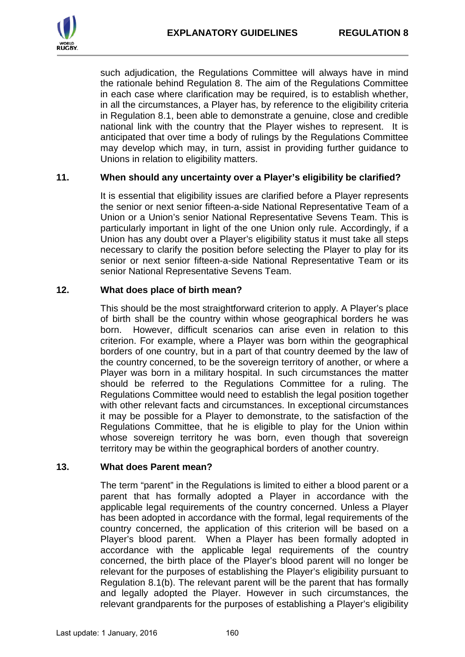

such adjudication, the Regulations Committee will always have in mind the rationale behind Regulation 8. The aim of the Regulations Committee in each case where clarification may be required, is to establish whether, in all the circumstances, a Player has, by reference to the eligibility criteria in Regulation 8.1, been able to demonstrate a genuine, close and credible national link with the country that the Player wishes to represent. It is anticipated that over time a body of rulings by the Regulations Committee may develop which may, in turn, assist in providing further guidance to Unions in relation to eligibility matters.

#### **11. When should any uncertainty over a Player's eligibility be clarified?**

It is essential that eligibility issues are clarified before a Player represents the senior or next senior fifteen-a-side National Representative Team of a Union or a Union's senior National Representative Sevens Team. This is particularly important in light of the one Union only rule. Accordingly, if a Union has any doubt over a Player's eligibility status it must take all steps necessary to clarify the position before selecting the Player to play for its senior or next senior fifteen-a-side National Representative Team or its senior National Representative Sevens Team.

#### **12. What does place of birth mean?**

This should be the most straightforward criterion to apply. A Player's place of birth shall be the country within whose geographical borders he was born. However, difficult scenarios can arise even in relation to this criterion. For example, where a Player was born within the geographical borders of one country, but in a part of that country deemed by the law of the country concerned, to be the sovereign territory of another, or where a Player was born in a military hospital. In such circumstances the matter should be referred to the Regulations Committee for a ruling. The Regulations Committee would need to establish the legal position together with other relevant facts and circumstances. In exceptional circumstances it may be possible for a Player to demonstrate, to the satisfaction of the Regulations Committee, that he is eligible to play for the Union within whose sovereign territory he was born, even though that sovereign territory may be within the geographical borders of another country.

#### **13. What does Parent mean?**

The term "parent" in the Regulations is limited to either a blood parent or a parent that has formally adopted a Player in accordance with the applicable legal requirements of the country concerned. Unless a Player has been adopted in accordance with the formal, legal requirements of the country concerned, the application of this criterion will be based on a Player's blood parent. When a Player has been formally adopted in accordance with the applicable legal requirements of the country concerned, the birth place of the Player's blood parent will no longer be relevant for the purposes of establishing the Player's eligibility pursuant to Regulation 8.1(b). The relevant parent will be the parent that has formally and legally adopted the Player. However in such circumstances, the relevant grandparents for the purposes of establishing a Player's eligibility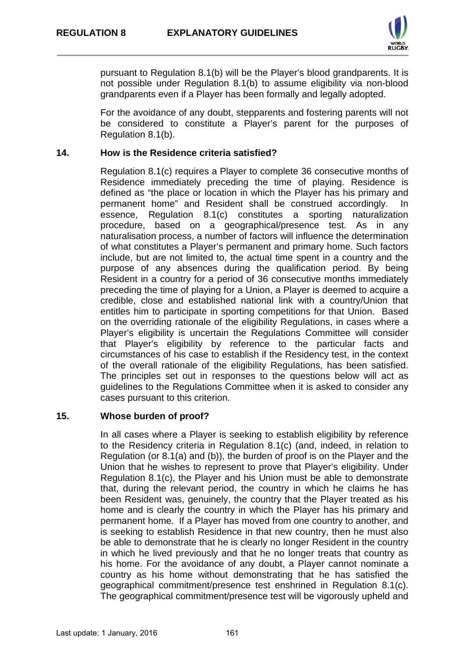

pursuant to Regulation 8.1(b) will be the Player's blood grandparents. It is not possible under Regulation 8.1(b) to assume eligibility via non-blood grandparents even if a Player has been formally and legally adopted.

For the avoidance of any doubt, stepparents and fostering parents will not be considered to constitute a Player's parent for the purposes of Regulation 8.1(b).

#### **14. How is the Residence criteria satisfied?**

Regulation 8.1(c) requires a Player to complete 36 consecutive months of Residence immediately preceding the time of playing. Residence is defined as "the place or location in which the Player has his primary and permanent home" and Resident shall be construed accordingly. In essence, Regulation 8.1(c) constitutes a sporting naturalization procedure, based on a geographical/presence test. As in any naturalisation process, a number of factors will influence the determination of what constitutes a Player's permanent and primary home. Such factors include, but are not limited to, the actual time spent in a country and the purpose of any absences during the qualification period. By being Resident in a country for a period of 36 consecutive months immediately preceding the time of playing for a Union, a Player is deemed to acquire a credible, close and established national link with a country/Union that entitles him to participate in sporting competitions for that Union. Based on the overriding rationale of the eligibility Regulations, in cases where a Player's eligibility is uncertain the Regulations Committee will consider that Player's eligibility by reference to the particular facts and circumstances of his case to establish if the Residency test, in the context of the overall rationale of the eligibility Regulations, has been satisfied. The principles set out in responses to the questions below will act as guidelines to the Regulations Committee when it is asked to consider any cases pursuant to this criterion.

# **15. Whose burden of proof?**

In all cases where a Player is seeking to establish eligibility by reference to the Residency criteria in Regulation 8.1(c) (and, indeed, in relation to Regulation (or 8.1(a) and (b)), the burden of proof is on the Player and the Union that he wishes to represent to prove that Player's eligibility. Under Regulation 8.1(c), the Player and his Union must be able to demonstrate that, during the relevant period, the country in which he claims he has been Resident was, genuinely, the country that the Player treated as his home and is clearly the country in which the Player has his primary and permanent home. If a Player has moved from one country to another, and is seeking to establish Residence in that new country, then he must also be able to demonstrate that he is clearly no longer Resident in the country in which he lived previously and that he no longer treats that country as his home. For the avoidance of any doubt, a Player cannot nominate a country as his home without demonstrating that he has satisfied the geographical commitment/presence test enshrined in Regulation 8.1(c). The geographical commitment/presence test will be vigorously upheld and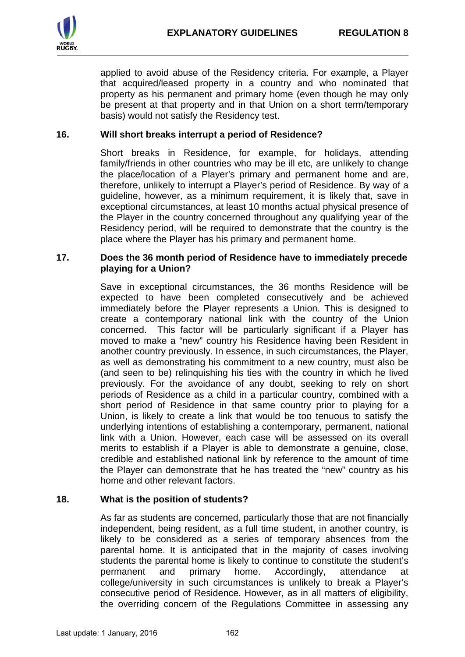

applied to avoid abuse of the Residency criteria. For example, a Player that acquired/leased property in a country and who nominated that property as his permanent and primary home (even though he may only be present at that property and in that Union on a short term/temporary basis) would not satisfy the Residency test.

### **16. Will short breaks interrupt a period of Residence?**

Short breaks in Residence, for example, for holidays, attending family/friends in other countries who may be ill etc, are unlikely to change the place/location of a Player's primary and permanent home and are, therefore, unlikely to interrupt a Player's period of Residence. By way of a guideline, however, as a minimum requirement, it is likely that, save in exceptional circumstances, at least 10 months actual physical presence of the Player in the country concerned throughout any qualifying year of the Residency period, will be required to demonstrate that the country is the place where the Player has his primary and permanent home.

#### **17. Does the 36 month period of Residence have to immediately precede playing for a Union?**

Save in exceptional circumstances, the 36 months Residence will be expected to have been completed consecutively and be achieved immediately before the Player represents a Union. This is designed to create a contemporary national link with the country of the Union concerned. This factor will be particularly significant if a Player has moved to make a "new" country his Residence having been Resident in another country previously. In essence, in such circumstances, the Player, as well as demonstrating his commitment to a new country, must also be (and seen to be) relinquishing his ties with the country in which he lived previously. For the avoidance of any doubt, seeking to rely on short periods of Residence as a child in a particular country, combined with a short period of Residence in that same country prior to playing for a Union, is likely to create a link that would be too tenuous to satisfy the underlying intentions of establishing a contemporary, permanent, national link with a Union. However, each case will be assessed on its overall merits to establish if a Player is able to demonstrate a genuine, close, credible and established national link by reference to the amount of time the Player can demonstrate that he has treated the "new" country as his home and other relevant factors.

# **18. What is the position of students?**

As far as students are concerned, particularly those that are not financially independent, being resident, as a full time student, in another country, is likely to be considered as a series of temporary absences from the parental home. It is anticipated that in the majority of cases involving students the parental home is likely to continue to constitute the student's permanent and primary home. Accordingly, attendance at college/university in such circumstances is unlikely to break a Player's consecutive period of Residence. However, as in all matters of eligibility, the overriding concern of the Regulations Committee in assessing any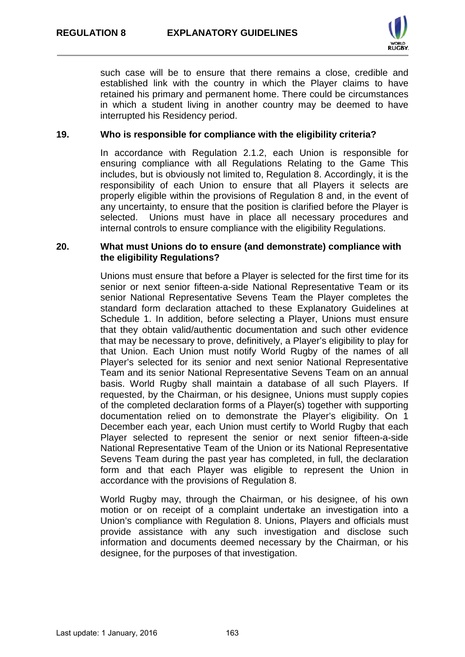

such case will be to ensure that there remains a close, credible and established link with the country in which the Player claims to have retained his primary and permanent home. There could be circumstances in which a student living in another country may be deemed to have interrupted his Residency period.

#### **19. Who is responsible for compliance with the eligibility criteria?**

In accordance with Regulation 2.1.2, each Union is responsible for ensuring compliance with all Regulations Relating to the Game This includes, but is obviously not limited to, Regulation 8. Accordingly, it is the responsibility of each Union to ensure that all Players it selects are properly eligible within the provisions of Regulation 8 and, in the event of any uncertainty, to ensure that the position is clarified before the Player is selected. Unions must have in place all necessary procedures and internal controls to ensure compliance with the eligibility Regulations.

#### **20. What must Unions do to ensure (and demonstrate) compliance with the eligibility Regulations?**

Unions must ensure that before a Player is selected for the first time for its senior or next senior fifteen-a-side National Representative Team or its senior National Representative Sevens Team the Player completes the standard form declaration attached to these Explanatory Guidelines at Schedule 1. In addition, before selecting a Player, Unions must ensure that they obtain valid/authentic documentation and such other evidence that may be necessary to prove, definitively, a Player's eligibility to play for that Union. Each Union must notify World Rugby of the names of all Player's selected for its senior and next senior National Representative Team and its senior National Representative Sevens Team on an annual basis. World Rugby shall maintain a database of all such Players. If requested, by the Chairman, or his designee, Unions must supply copies of the completed declaration forms of a Player(s) together with supporting documentation relied on to demonstrate the Player's eligibility. On 1 December each year, each Union must certify to World Rugby that each Player selected to represent the senior or next senior fifteen-a-side National Representative Team of the Union or its National Representative Sevens Team during the past year has completed, in full, the declaration form and that each Player was eligible to represent the Union in accordance with the provisions of Regulation 8.

World Rugby may, through the Chairman, or his designee, of his own motion or on receipt of a complaint undertake an investigation into a Union's compliance with Regulation 8. Unions, Players and officials must provide assistance with any such investigation and disclose such information and documents deemed necessary by the Chairman, or his designee, for the purposes of that investigation.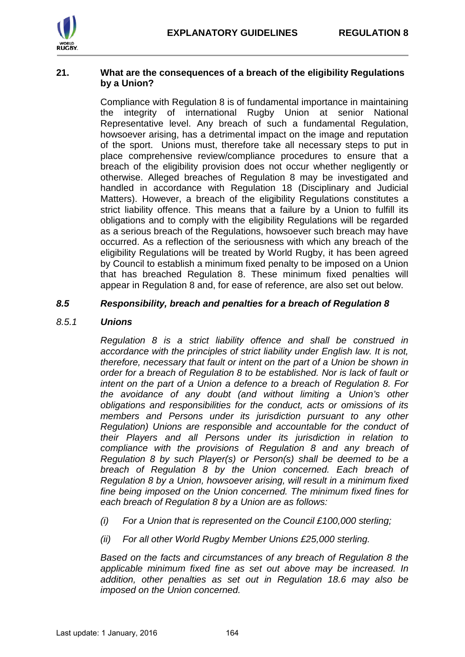

#### **21. What are the consequences of a breach of the eligibility Regulations by a Union?**

Compliance with Regulation 8 is of fundamental importance in maintaining the integrity of international Rugby Union at senior National Representative level. Any breach of such a fundamental Regulation, howsoever arising, has a detrimental impact on the image and reputation of the sport. Unions must, therefore take all necessary steps to put in place comprehensive review/compliance procedures to ensure that a breach of the eligibility provision does not occur whether negligently or otherwise. Alleged breaches of Regulation 8 may be investigated and handled in accordance with Regulation 18 (Disciplinary and Judicial Matters). However, a breach of the eligibility Regulations constitutes a strict liability offence. This means that a failure by a Union to fulfill its obligations and to comply with the eligibility Regulations will be regarded as a serious breach of the Regulations, howsoever such breach may have occurred. As a reflection of the seriousness with which any breach of the eligibility Regulations will be treated by World Rugby, it has been agreed by Council to establish a minimum fixed penalty to be imposed on a Union that has breached Regulation 8. These minimum fixed penalties will appear in Regulation 8 and, for ease of reference, are also set out below.

# *8.5 Responsibility, breach and penalties for a breach of Regulation 8*

# *8.5.1 Unions*

*Regulation 8 is a strict liability offence and shall be construed in accordance with the principles of strict liability under English law. It is not, therefore, necessary that fault or intent on the part of a Union be shown in order for a breach of Regulation 8 to be established. Nor is lack of fault or intent on the part of a Union a defence to a breach of Regulation 8. For the avoidance of any doubt (and without limiting a Union's other obligations and responsibilities for the conduct, acts or omissions of its members and Persons under its jurisdiction pursuant to any other Regulation) Unions are responsible and accountable for the conduct of their Players and all Persons under its jurisdiction in relation to compliance with the provisions of Regulation 8 and any breach of Regulation 8 by such Player(s) or Person(s) shall be deemed to be a breach of Regulation 8 by the Union concerned. Each breach of Regulation 8 by a Union, howsoever arising, will result in a minimum fixed fine being imposed on the Union concerned. The minimum fixed fines for each breach of Regulation 8 by a Union are as follows:*

- *(i) For a Union that is represented on the Council £100,000 sterling;*
- *(ii) For all other World Rugby Member Unions £25,000 sterling.*

*Based on the facts and circumstances of any breach of Regulation 8 the applicable minimum fixed fine as set out above may be increased. In addition, other penalties as set out in Regulation 18.6 may also be imposed on the Union concerned.*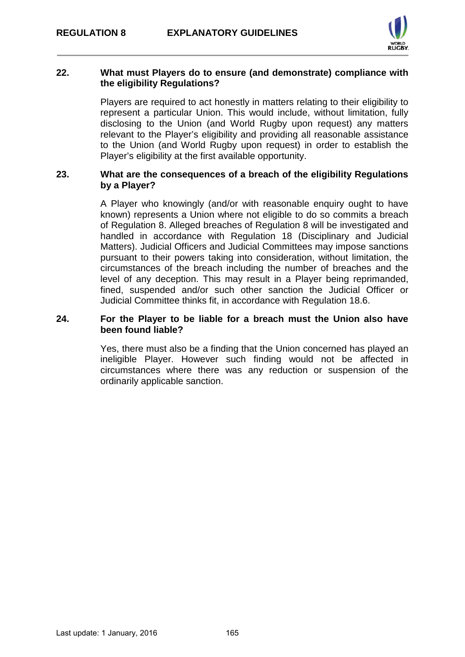

#### **22. What must Players do to ensure (and demonstrate) compliance with the eligibility Regulations?**

Players are required to act honestly in matters relating to their eligibility to represent a particular Union. This would include, without limitation, fully disclosing to the Union (and World Rugby upon request) any matters relevant to the Player's eligibility and providing all reasonable assistance to the Union (and World Rugby upon request) in order to establish the Player's eligibility at the first available opportunity.

#### **23. What are the consequences of a breach of the eligibility Regulations by a Player?**

A Player who knowingly (and/or with reasonable enquiry ought to have known) represents a Union where not eligible to do so commits a breach of Regulation 8. Alleged breaches of Regulation 8 will be investigated and handled in accordance with Regulation 18 (Disciplinary and Judicial Matters). Judicial Officers and Judicial Committees may impose sanctions pursuant to their powers taking into consideration, without limitation, the circumstances of the breach including the number of breaches and the level of any deception. This may result in a Player being reprimanded, fined, suspended and/or such other sanction the Judicial Officer or Judicial Committee thinks fit, in accordance with Regulation 18.6.

#### **24. For the Player to be liable for a breach must the Union also have been found liable?**

Yes, there must also be a finding that the Union concerned has played an ineligible Player. However such finding would not be affected in circumstances where there was any reduction or suspension of the ordinarily applicable sanction.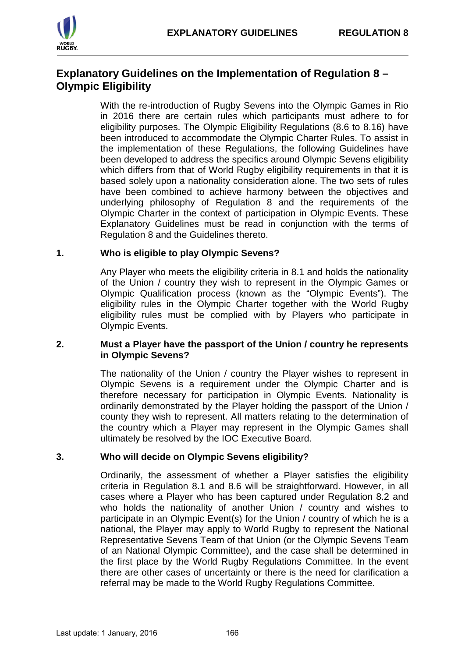

# **Explanatory Guidelines on the Implementation of Regulation 8 – Olympic Eligibility**

With the re-introduction of Rugby Sevens into the Olympic Games in Rio in 2016 there are certain rules which participants must adhere to for eligibility purposes. The Olympic Eligibility Regulations (8.6 to 8.16) have been introduced to accommodate the Olympic Charter Rules. To assist in the implementation of these Regulations, the following Guidelines have been developed to address the specifics around Olympic Sevens eligibility which differs from that of World Rugby eligibility requirements in that it is based solely upon a nationality consideration alone. The two sets of rules have been combined to achieve harmony between the objectives and underlying philosophy of Regulation 8 and the requirements of the Olympic Charter in the context of participation in Olympic Events. These Explanatory Guidelines must be read in conjunction with the terms of Regulation 8 and the Guidelines thereto.

# **1. Who is eligible to play Olympic Sevens?**

Any Player who meets the eligibility criteria in 8.1 and holds the nationality of the Union / country they wish to represent in the Olympic Games or Olympic Qualification process (known as the "Olympic Events"). The eligibility rules in the Olympic Charter together with the World Rugby eligibility rules must be complied with by Players who participate in Olympic Events.

#### **2. Must a Player have the passport of the Union / country he represents in Olympic Sevens?**

The nationality of the Union / country the Player wishes to represent in Olympic Sevens is a requirement under the Olympic Charter and is therefore necessary for participation in Olympic Events. Nationality is ordinarily demonstrated by the Player holding the passport of the Union / county they wish to represent. All matters relating to the determination of the country which a Player may represent in the Olympic Games shall ultimately be resolved by the IOC Executive Board.

# **3. Who will decide on Olympic Sevens eligibility?**

Ordinarily, the assessment of whether a Player satisfies the eligibility criteria in Regulation 8.1 and 8.6 will be straightforward. However, in all cases where a Player who has been captured under Regulation 8.2 and who holds the nationality of another Union / country and wishes to participate in an Olympic Event(s) for the Union / country of which he is a national, the Player may apply to World Rugby to represent the National Representative Sevens Team of that Union (or the Olympic Sevens Team of an National Olympic Committee), and the case shall be determined in the first place by the World Rugby Regulations Committee. In the event there are other cases of uncertainty or there is the need for clarification a referral may be made to the World Rugby Regulations Committee.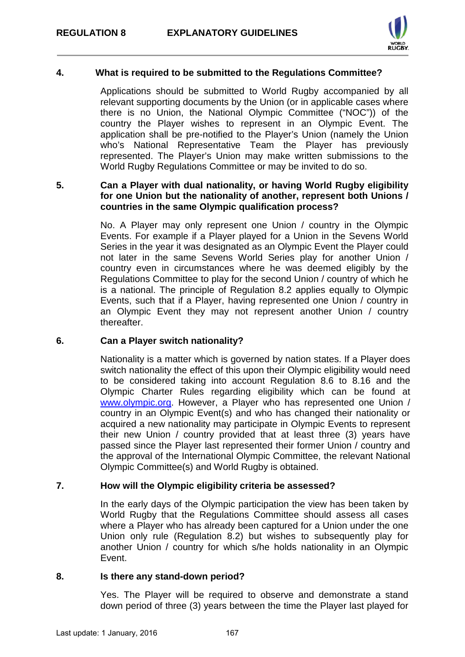

# **4. What is required to be submitted to the Regulations Committee?**

Applications should be submitted to World Rugby accompanied by all relevant supporting documents by the Union (or in applicable cases where there is no Union, the National Olympic Committee ("NOC")) of the country the Player wishes to represent in an Olympic Event. The application shall be pre-notified to the Player's Union (namely the Union who's National Representative Team the Player has previously represented. The Player's Union may make written submissions to the World Rugby Regulations Committee or may be invited to do so.

# **5. Can a Player with dual nationality, or having World Rugby eligibility for one Union but the nationality of another, represent both Unions / countries in the same Olympic qualification process?**

No. A Player may only represent one Union / country in the Olympic Events. For example if a Player played for a Union in the Sevens World Series in the year it was designated as an Olympic Event the Player could not later in the same Sevens World Series play for another Union / country even in circumstances where he was deemed eligibly by the Regulations Committee to play for the second Union / country of which he is a national. The principle of Regulation 8.2 applies equally to Olympic Events, such that if a Player, having represented one Union / country in an Olympic Event they may not represent another Union / country thereafter.

# **6. Can a Player switch nationality?**

Nationality is a matter which is governed by nation states. If a Player does switch nationality the effect of this upon their Olympic eligibility would need to be considered taking into account Regulation 8.6 to 8.16 and the Olympic Charter Rules regarding eligibility which can be found at [www.olympic.org.](http://www.olympic.org/) However, a Player who has represented one Union / country in an Olympic Event(s) and who has changed their nationality or acquired a new nationality may participate in Olympic Events to represent their new Union / country provided that at least three (3) years have passed since the Player last represented their former Union / country and the approval of the International Olympic Committee, the relevant National Olympic Committee(s) and World Rugby is obtained.

# **7. How will the Olympic eligibility criteria be assessed?**

In the early days of the Olympic participation the view has been taken by World Rugby that the Regulations Committee should assess all cases where a Player who has already been captured for a Union under the one Union only rule (Regulation 8.2) but wishes to subsequently play for another Union / country for which s/he holds nationality in an Olympic Event.

# **8. Is there any stand-down period?**

Yes. The Player will be required to observe and demonstrate a stand down period of three (3) years between the time the Player last played for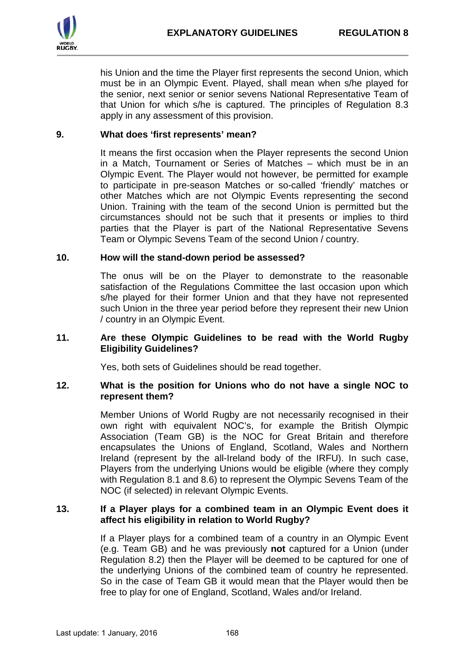

his Union and the time the Player first represents the second Union, which must be in an Olympic Event. Played, shall mean when s/he played for the senior, next senior or senior sevens National Representative Team of that Union for which s/he is captured. The principles of Regulation 8.3 apply in any assessment of this provision.

# **9. What does 'first represents' mean?**

It means the first occasion when the Player represents the second Union in a Match, Tournament or Series of Matches – which must be in an Olympic Event. The Player would not however, be permitted for example to participate in pre-season Matches or so-called 'friendly' matches or other Matches which are not Olympic Events representing the second Union. Training with the team of the second Union is permitted but the circumstances should not be such that it presents or implies to third parties that the Player is part of the National Representative Sevens Team or Olympic Sevens Team of the second Union / country.

#### **10. How will the stand-down period be assessed?**

The onus will be on the Player to demonstrate to the reasonable satisfaction of the Regulations Committee the last occasion upon which s/he played for their former Union and that they have not represented such Union in the three year period before they represent their new Union / country in an Olympic Event.

#### **11. Are these Olympic Guidelines to be read with the World Rugby Eligibility Guidelines?**

Yes, both sets of Guidelines should be read together.

#### **12. What is the position for Unions who do not have a single NOC to represent them?**

Member Unions of World Rugby are not necessarily recognised in their own right with equivalent NOC's, for example the British Olympic Association (Team GB) is the NOC for Great Britain and therefore encapsulates the Unions of England, Scotland, Wales and Northern Ireland (represent by the all-Ireland body of the IRFU). In such case, Players from the underlying Unions would be eligible (where they comply with Regulation 8.1 and 8.6) to represent the Olympic Sevens Team of the NOC (if selected) in relevant Olympic Events.

#### **13. If a Player plays for a combined team in an Olympic Event does it affect his eligibility in relation to World Rugby?**

If a Player plays for a combined team of a country in an Olympic Event (e.g. Team GB) and he was previously **not** captured for a Union (under Regulation 8.2) then the Player will be deemed to be captured for one of the underlying Unions of the combined team of country he represented. So in the case of Team GB it would mean that the Player would then be free to play for one of England, Scotland, Wales and/or Ireland.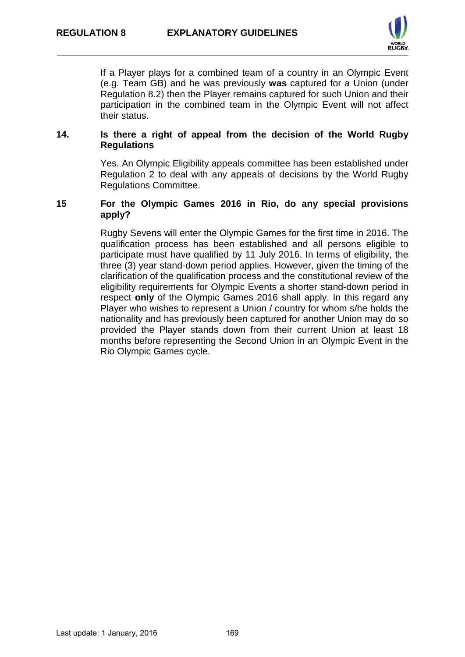

If a Player plays for a combined team of a country in an Olympic Event (e.g. Team GB) and he was previously **was** captured for a Union (under Regulation 8.2) then the Player remains captured for such Union and their participation in the combined team in the Olympic Event will not affect their status.

#### **14. Is there a right of appeal from the decision of the World Rugby Regulations**

Yes. An Olympic Eligibility appeals committee has been established under Regulation 2 to deal with any appeals of decisions by the World Rugby Regulations Committee.

### **15 For the Olympic Games 2016 in Rio, do any special provisions apply?**

Rugby Sevens will enter the Olympic Games for the first time in 2016. The qualification process has been established and all persons eligible to participate must have qualified by 11 July 2016. In terms of eligibility, the three (3) year stand-down period applies. However, given the timing of the clarification of the qualification process and the constitutional review of the eligibility requirements for Olympic Events a shorter stand-down period in respect **only** of the Olympic Games 2016 shall apply. In this regard any Player who wishes to represent a Union / country for whom s/he holds the nationality and has previously been captured for another Union may do so provided the Player stands down from their current Union at least 18 months before representing the Second Union in an Olympic Event in the Rio Olympic Games cycle.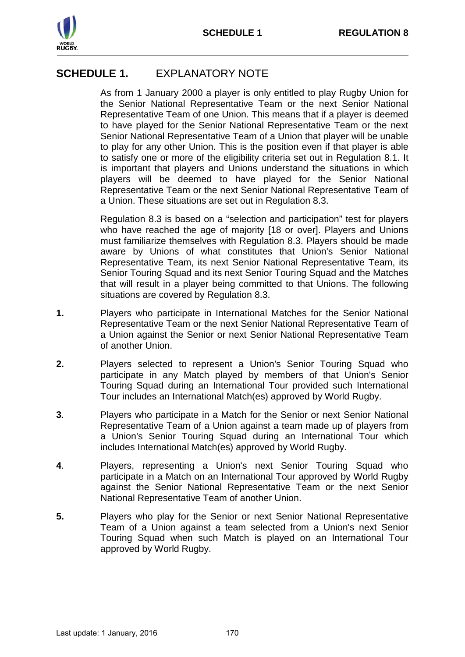

# **SCHEDULE 1.** EXPLANATORY NOTE

As from 1 January 2000 a player is only entitled to play Rugby Union for the Senior National Representative Team or the next Senior National Representative Team of one Union. This means that if a player is deemed to have played for the Senior National Representative Team or the next Senior National Representative Team of a Union that player will be unable to play for any other Union. This is the position even if that player is able to satisfy one or more of the eligibility criteria set out in Regulation 8.1. It is important that players and Unions understand the situations in which players will be deemed to have played for the Senior National Representative Team or the next Senior National Representative Team of a Union. These situations are set out in Regulation 8.3.

Regulation 8.3 is based on a "selection and participation" test for players who have reached the age of majority [18 or over]. Players and Unions must familiarize themselves with Regulation 8.3. Players should be made aware by Unions of what constitutes that Union's Senior National Representative Team, its next Senior National Representative Team, its Senior Touring Squad and its next Senior Touring Squad and the Matches that will result in a player being committed to that Unions. The following situations are covered by Regulation 8.3.

- **1.** Players who participate in International Matches for the Senior National Representative Team or the next Senior National Representative Team of a Union against the Senior or next Senior National Representative Team of another Union.
- **2.** Players selected to represent a Union's Senior Touring Squad who participate in any Match played by members of that Union's Senior Touring Squad during an International Tour provided such International Tour includes an International Match(es) approved by World Rugby.
- **3**. Players who participate in a Match for the Senior or next Senior National Representative Team of a Union against a team made up of players from a Union's Senior Touring Squad during an International Tour which includes International Match(es) approved by World Rugby.
- **4**. Players, representing a Union's next Senior Touring Squad who participate in a Match on an International Tour approved by World Rugby against the Senior National Representative Team or the next Senior National Representative Team of another Union.
- **5.** Players who play for the Senior or next Senior National Representative Team of a Union against a team selected from a Union's next Senior Touring Squad when such Match is played on an International Tour approved by World Rugby.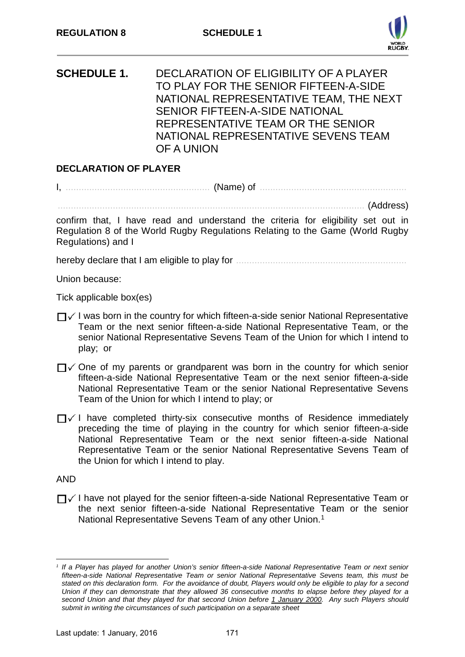

**SCHEDULE 1.** DECLARATION OF ELIGIBILITY OF A PLAYER TO PLAY FOR THE SENIOR FIFTEEN-A-SIDE NATIONAL REPRESENTATIVE TEAM, THE NEXT SENIOR FIFTEEN-A-SIDE NATIONAL REPRESENTATIVE TEAM OR THE SENIOR NATIONAL REPRESENTATIVE SEVENS TEAM OF A UNION

# **DECLARATION OF PLAYER**

I, ....................................................... (Name) of ........................................................

..................................................................................................................... (Address)

confirm that, I have read and understand the criteria for eligibility set out in Regulation 8 of the World Rugby Regulations Relating to the Game (World Rugby Regulations) and I

hereby declare that I am eligible to play for .................................................................

Union because:

Tick applicable box(es)

- $\Box$  I was born in the country for which fifteen-a-side senior National Representative Team or the next senior fifteen-a-side National Representative Team, or the senior National Representative Sevens Team of the Union for which I intend to play; or
- $\Box$   $\Diamond$  One of my parents or grandparent was born in the country for which senior fifteen-a-side National Representative Team or the next senior fifteen-a-side National Representative Team or the senior National Representative Sevens Team of the Union for which I intend to play; or
- $\Box$  I have completed thirty-six consecutive months of Residence immediately preceding the time of playing in the country for which senior fifteen-a-side National Representative Team or the next senior fifteen-a-side National Representative Team or the senior National Representative Sevens Team of the Union for which I intend to play.

AND

 $\Box$  I have not played for the senior fifteen-a-side National Representative Team or the next senior fifteen-a-side National Representative Team or the senior National Representative Sevens Team of any other Union.<sup>[1](#page-20-0)</sup>

<span id="page-20-0"></span><sup>-</sup>*<sup>1</sup> If a Player has played for another Union's senior fifteen-a-side National Representative Team or next senior fifteen-a-side National Representative Team or senior National Representative Sevens team, this must be stated on this declaration form. For the avoidance of doubt, Players would only be eligible to play for a second Union if they can demonstrate that they allowed 36 consecutive months to elapse before they played for a second Union and that they played for that second Union before 1 January 2000. Any such Players should submit in writing the circumstances of such participation on a separate sheet*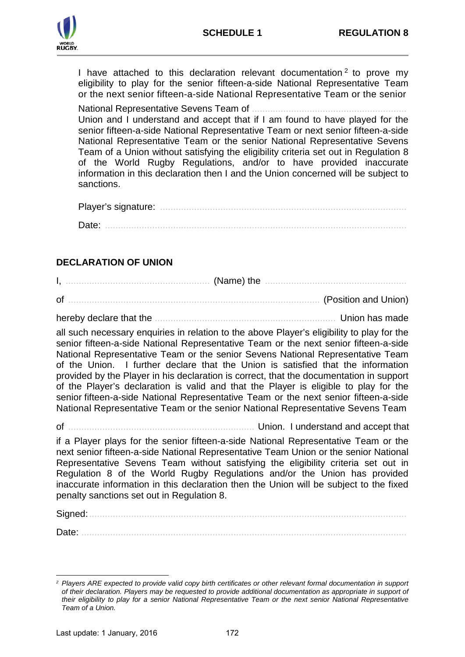I have attached to this declaration relevant documentation  $2$  to prove my eligibility to play for the senior fifteen-a-side National Representative Team or the next senior fifteen-a-side National Representative Team or the senior

National Representative Sevens Team of ........................................................... Union and I understand and accept that if I am found to have played for the senior fifteen-a-side National Representative Team or next senior fifteen-a-side National Representative Team or the senior National Representative Sevens Team of a Union without satisfying the eligibility criteria set out in Regulation 8 of the World Rugby Regulations, and/or to have provided inaccurate information in this declaration then I and the Union concerned will be subject to sanctions.

Player's signature: .............................................................................................. Date: ...................................................................................................................

# **DECLARATION OF UNION**

| of | (Position and Union) |
|----|----------------------|

hereby declare that the ..................................................................... Union has made

all such necessary enquiries in relation to the above Player's eligibility to play for the senior fifteen-a-side National Representative Team or the next senior fifteen-a-side National Representative Team or the senior Sevens National Representative Team of the Union. I further declare that the Union is satisfied that the information provided by the Player in his declaration is correct, that the documentation in support of the Player's declaration is valid and that the Player is eligible to play for the senior fifteen-a-side National Representative Team or the next senior fifteen-a-side National Representative Team or the senior National Representative Sevens Team

of ....................................................................... Union. I understand and accept that

if a Player plays for the senior fifteen-a-side National Representative Team or the next senior fifteen-a-side National Representative Team Union or the senior National Representative Sevens Team without satisfying the eligibility criteria set out in Regulation 8 of the World Rugby Regulations and/or the Union has provided inaccurate information in this declaration then the Union will be subject to the fixed penalty sanctions set out in Regulation 8.

Signed:.........................................................................................................................

Date: ............................................................................................................................

<span id="page-21-0"></span><sup>-</sup>*<sup>2</sup> Players ARE expected to provide valid copy birth certificates or other relevant formal documentation in support of their declaration. Players may be requested to provide additional documentation as appropriate in support of their eligibility to play for a senior National Representative Team or the next senior National Representative Team of a Union.*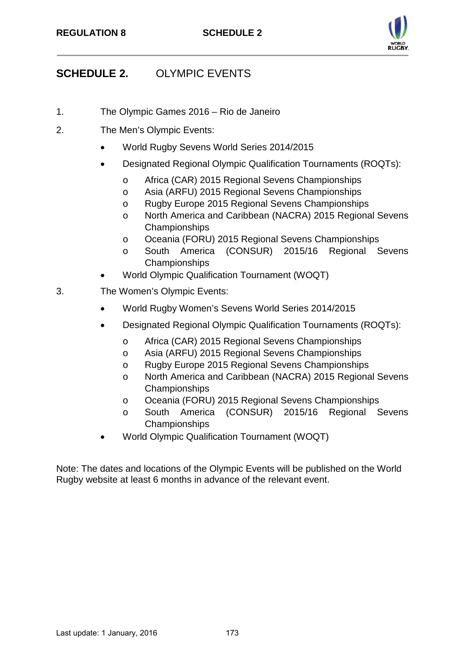

# **SCHEDULE 2.** OLYMPIC EVENTS

- 1. The Olympic Games 2016 Rio de Janeiro
- 2. The Men's Olympic Events:
	- World Rugby Sevens World Series 2014/2015
	- Designated Regional Olympic Qualification Tournaments (ROQTs):
		- o Africa (CAR) 2015 Regional Sevens Championships
		- o Asia (ARFU) 2015 Regional Sevens Championships
		- o Rugby Europe 2015 Regional Sevens Championships
		- o North America and Caribbean (NACRA) 2015 Regional Sevens Championships
		- o Oceania (FORU) 2015 Regional Sevens Championships
		- o South America (CONSUR) 2015/16 Regional Sevens Championships
		- World Olympic Qualification Tournament (WOQT)
- 3. The Women's Olympic Events:
	- World Rugby Women's Sevens World Series 2014/2015
	- Designated Regional Olympic Qualification Tournaments (ROQTs):
		- o Africa (CAR) 2015 Regional Sevens Championships
		- o Asia (ARFU) 2015 Regional Sevens Championships
		- o Rugby Europe 2015 Regional Sevens Championships
		- o North America and Caribbean (NACRA) 2015 Regional Sevens Championships
		- o Oceania (FORU) 2015 Regional Sevens Championships
		- o South America (CONSUR) 2015/16 Regional Sevens Championships
	- World Olympic Qualification Tournament (WOQT)

Note: The dates and locations of the Olympic Events will be published on the World Rugby website at least 6 months in advance of the relevant event.